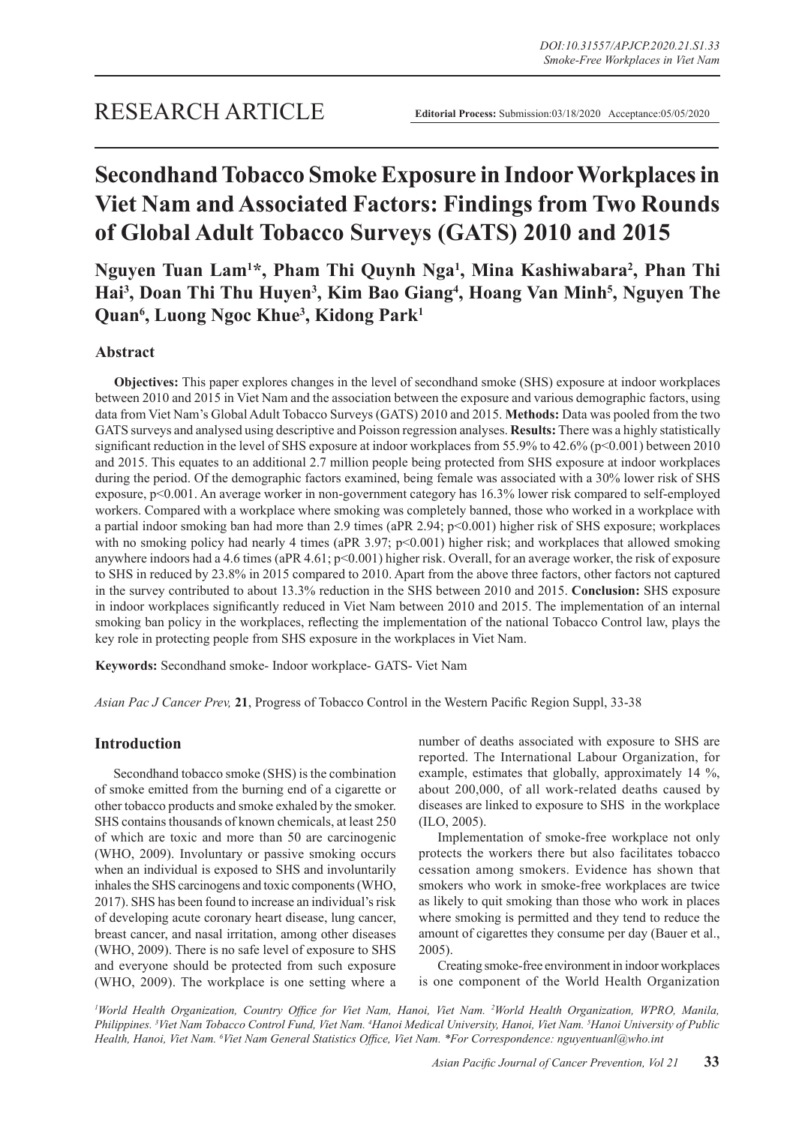# **Secondhand Tobacco Smoke Exposure in Indoor Workplaces in Viet Nam and Associated Factors: Findings from Two Rounds of Global Adult Tobacco Surveys (GATS) 2010 and 2015**

**Nguyen Tuan Lam1 \*, Pham Thi Quynh Nga1 , Mina Kashiwabara2 , Phan Thi**  Hai<sup>3</sup>, Doan Thi Thu Huyen<sup>3</sup>, Kim Bao Giang<sup>4</sup>, Hoang Van Minh<sup>5</sup>, Nguyen The **Quan6 , Luong Ngoc Khue3 , Kidong Park1**

# **Abstract**

**Objectives:** This paper explores changes in the level of secondhand smoke (SHS) exposure at indoor workplaces between 2010 and 2015 in Viet Nam and the association between the exposure and various demographic factors, using data from Viet Nam's Global Adult Tobacco Surveys (GATS) 2010 and 2015. **Methods:** Data was pooled from the two GATS surveys and analysed using descriptive and Poisson regression analyses. **Results:** There was a highly statistically significant reduction in the level of SHS exposure at indoor workplaces from 55.9% to 42.6% (p<0.001) between 2010 and 2015. This equates to an additional 2.7 million people being protected from SHS exposure at indoor workplaces during the period. Of the demographic factors examined, being female was associated with a 30% lower risk of SHS exposure, p<0.001. An average worker in non-government category has 16.3% lower risk compared to self-employed workers. Compared with a workplace where smoking was completely banned, those who worked in a workplace with a partial indoor smoking ban had more than 2.9 times (aPR 2.94; p<0.001) higher risk of SHS exposure; workplaces with no smoking policy had nearly 4 times (aPR 3.97; p<0.001) higher risk; and workplaces that allowed smoking anywhere indoors had a 4.6 times (aPR 4.61;  $p<0.001$ ) higher risk. Overall, for an average worker, the risk of exposure to SHS in reduced by 23.8% in 2015 compared to 2010. Apart from the above three factors, other factors not captured in the survey contributed to about 13.3% reduction in the SHS between 2010 and 2015. **Conclusion:** SHS exposure in indoor workplaces significantly reduced in Viet Nam between 2010 and 2015. The implementation of an internal smoking ban policy in the workplaces, reflecting the implementation of the national Tobacco Control law, plays the key role in protecting people from SHS exposure in the workplaces in Viet Nam.

**Keywords:** Secondhand smoke- Indoor workplace- GATS- Viet Nam

*Asian Pac J Cancer Prev,* **21**, Progress of Tobacco Control in the Western Pacific Region Suppl, 33-38

# **Introduction**

Secondhand tobacco smoke (SHS) is the combination of smoke emitted from the burning end of a cigarette or other tobacco products and smoke exhaled by the smoker. SHS contains thousands of known chemicals, at least 250 of which are toxic and more than 50 are carcinogenic (WHO, 2009). Involuntary or passive smoking occurs when an individual is exposed to SHS and involuntarily inhales the SHS carcinogens and toxic components (WHO, 2017). SHS has been found to increase an individual's risk of developing acute coronary heart disease, lung cancer, breast cancer, and nasal irritation, among other diseases (WHO, 2009). There is no safe level of exposure to SHS and everyone should be protected from such exposure (WHO, 2009). The workplace is one setting where a number of deaths associated with exposure to SHS are reported. The International Labour Organization, for example, estimates that globally, approximately 14 %, about 200,000, of all work-related deaths caused by diseases are linked to exposure to SHS in the workplace (ILO, 2005).

Implementation of smoke-free workplace not only protects the workers there but also facilitates tobacco cessation among smokers. Evidence has shown that smokers who work in smoke-free workplaces are twice as likely to quit smoking than those who work in places where smoking is permitted and they tend to reduce the amount of cigarettes they consume per day (Bauer et al., 2005).

Creating smoke-free environment in indoor workplaces is one component of the World Health Organization

<sup>1</sup>World Health Organization, Country Office for Viet Nam, Hanoi, Viet Nam. <sup>2</sup>World Health Organization, WPRO, Manila, *Philippines. <sup>3</sup> Viet Nam Tobacco Control Fund, Viet Nam. <sup>4</sup> Hanoi Medical University, Hanoi, Viet Nam. <sup>5</sup> Hanoi University of Public Health, Hanoi, Viet Nam. <sup>6</sup> Viet Nam General Statistics Office, Viet Nam. \*For Correspondence: nguyentuanl@who.int*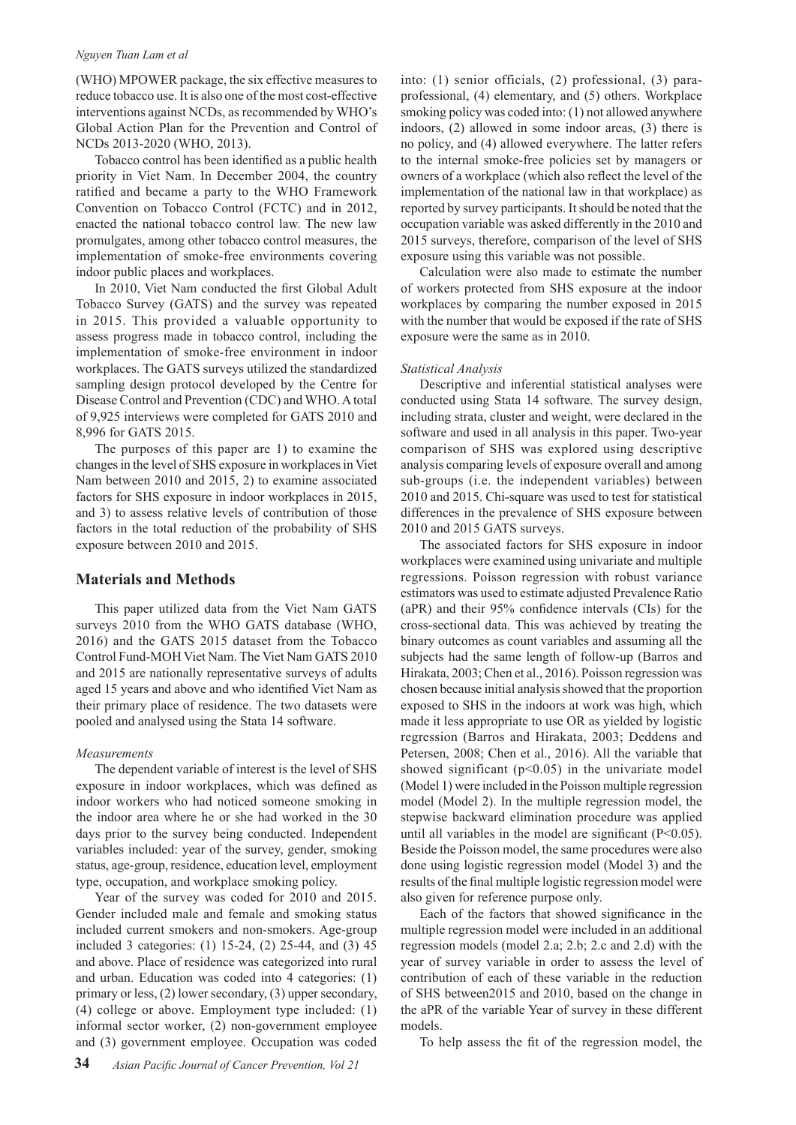#### *Nguyen Tuan Lam et al*

(WHO) MPOWER package, the six effective measures to reduce tobacco use. It is also one of the most cost-effective interventions against NCDs, as recommended by WHO's Global Action Plan for the Prevention and Control of NCDs 2013-2020 (WHO, 2013).

Tobacco control has been identified as a public health priority in Viet Nam. In December 2004, the country ratified and became a party to the WHO Framework Convention on Tobacco Control (FCTC) and in 2012, enacted the national tobacco control law. The new law promulgates, among other tobacco control measures, the implementation of smoke-free environments covering indoor public places and workplaces.

In 2010, Viet Nam conducted the first Global Adult Tobacco Survey (GATS) and the survey was repeated in 2015. This provided a valuable opportunity to assess progress made in tobacco control, including the implementation of smoke-free environment in indoor workplaces. The GATS surveys utilized the standardized sampling design protocol developed by the Centre for Disease Control and Prevention (CDC) and WHO. A total of 9,925 interviews were completed for GATS 2010 and 8,996 for GATS 2015.

The purposes of this paper are 1) to examine the changes in the level of SHS exposure in workplaces in Viet Nam between 2010 and 2015, 2) to examine associated factors for SHS exposure in indoor workplaces in 2015, and 3) to assess relative levels of contribution of those factors in the total reduction of the probability of SHS exposure between 2010 and 2015.

## **Materials and Methods**

This paper utilized data from the Viet Nam GATS surveys 2010 from the WHO GATS database (WHO, 2016) and the GATS 2015 dataset from the Tobacco Control Fund-MOH Viet Nam. The Viet Nam GATS 2010 and 2015 are nationally representative surveys of adults aged 15 years and above and who identified Viet Nam as their primary place of residence. The two datasets were pooled and analysed using the Stata 14 software.

#### *Measurements*

The dependent variable of interest is the level of SHS exposure in indoor workplaces, which was defined as indoor workers who had noticed someone smoking in the indoor area where he or she had worked in the 30 days prior to the survey being conducted. Independent variables included: year of the survey, gender, smoking status, age-group, residence, education level, employment type, occupation, and workplace smoking policy.

Year of the survey was coded for 2010 and 2015. Gender included male and female and smoking status included current smokers and non-smokers. Age-group included 3 categories: (1) 15-24, (2) 25-44, and (3) 45 and above. Place of residence was categorized into rural and urban. Education was coded into 4 categories: (1) primary or less, (2) lower secondary, (3) upper secondary, (4) college or above. Employment type included: (1) informal sector worker, (2) non-government employee and (3) government employee. Occupation was coded

into: (1) senior officials, (2) professional, (3) paraprofessional, (4) elementary, and (5) others. Workplace smoking policy was coded into: (1) not allowed anywhere indoors, (2) allowed in some indoor areas, (3) there is no policy, and (4) allowed everywhere. The latter refers to the internal smoke-free policies set by managers or owners of a workplace (which also reflect the level of the implementation of the national law in that workplace) as reported by survey participants. It should be noted that the occupation variable was asked differently in the 2010 and 2015 surveys, therefore, comparison of the level of SHS exposure using this variable was not possible.

Calculation were also made to estimate the number of workers protected from SHS exposure at the indoor workplaces by comparing the number exposed in 2015 with the number that would be exposed if the rate of SHS exposure were the same as in 2010.

#### *Statistical Analysis*

Descriptive and inferential statistical analyses were conducted using Stata 14 software. The survey design, including strata, cluster and weight, were declared in the software and used in all analysis in this paper. Two-year comparison of SHS was explored using descriptive analysis comparing levels of exposure overall and among sub-groups (i.e. the independent variables) between 2010 and 2015. Chi-square was used to test for statistical differences in the prevalence of SHS exposure between 2010 and 2015 GATS surveys.

The associated factors for SHS exposure in indoor workplaces were examined using univariate and multiple regressions. Poisson regression with robust variance estimators was used to estimate adjusted Prevalence Ratio (aPR) and their 95% confidence intervals (CIs) for the cross-sectional data. This was achieved by treating the binary outcomes as count variables and assuming all the subjects had the same length of follow-up (Barros and Hirakata, 2003; Chen et al., 2016). Poisson regression was chosen because initial analysis showed that the proportion exposed to SHS in the indoors at work was high, which made it less appropriate to use OR as yielded by logistic regression (Barros and Hirakata, 2003; Deddens and Petersen, 2008; Chen et al., 2016). All the variable that showed significant  $(p<0.05)$  in the univariate model (Model 1) were included in the Poisson multiple regression model (Model 2). In the multiple regression model, the stepwise backward elimination procedure was applied until all variables in the model are significant (P<0.05). Beside the Poisson model, the same procedures were also done using logistic regression model (Model 3) and the results of the final multiple logistic regression model were also given for reference purpose only.

Each of the factors that showed significance in the multiple regression model were included in an additional regression models (model 2.a; 2.b; 2.c and 2.d) with the year of survey variable in order to assess the level of contribution of each of these variable in the reduction of SHS between2015 and 2010, based on the change in the aPR of the variable Year of survey in these different models.

To help assess the fit of the regression model, the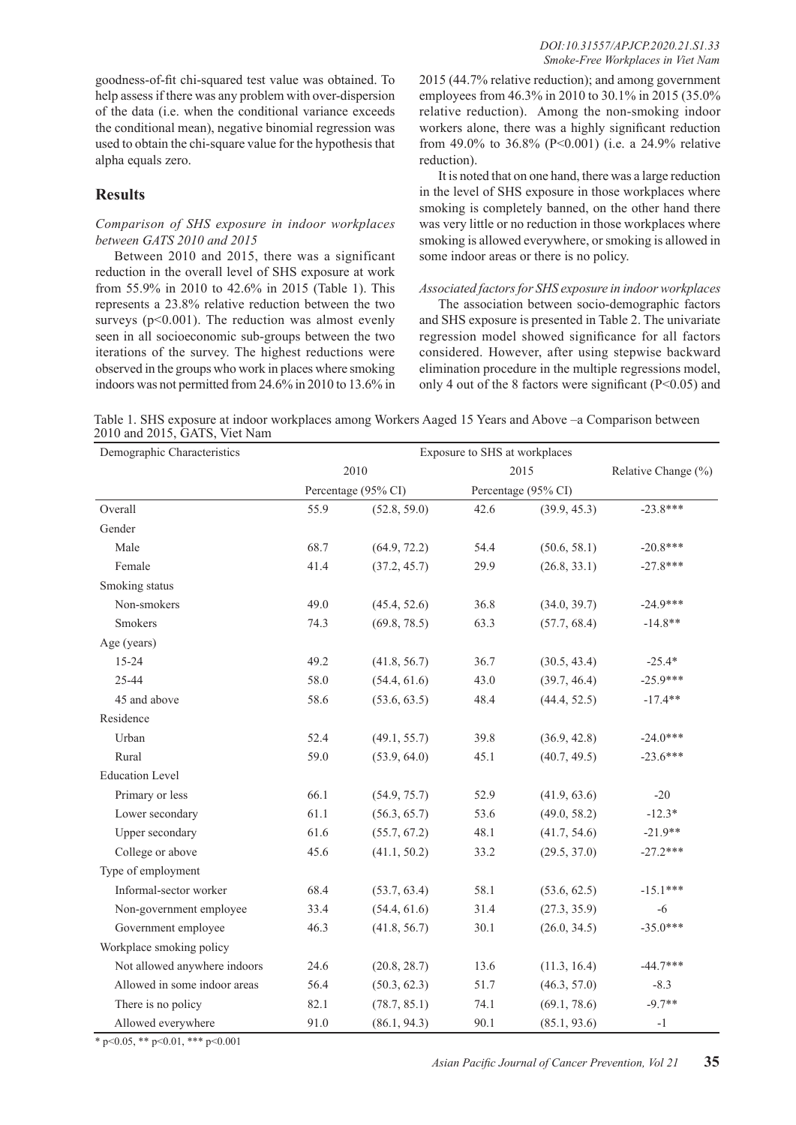goodness-of-fit chi-squared test value was obtained. To help assess if there was any problem with over-dispersion of the data (i.e. when the conditional variance exceeds the conditional mean), negative binomial regression was used to obtain the chi-square value for the hypothesis that alpha equals zero.

# **Results**

### *Comparison of SHS exposure in indoor workplaces between GATS 2010 and 2015*

Between 2010 and 2015, there was a significant reduction in the overall level of SHS exposure at work from 55.9% in 2010 to 42.6% in 2015 (Table 1). This represents a 23.8% relative reduction between the two surveys ( $p<0.001$ ). The reduction was almost evenly seen in all socioeconomic sub-groups between the two iterations of the survey. The highest reductions were observed in the groups who work in places where smoking indoors was not permitted from 24.6% in 2010 to 13.6% in

2015 (44.7% relative reduction); and among government employees from 46.3% in 2010 to 30.1% in 2015 (35.0% relative reduction). Among the non-smoking indoor workers alone, there was a highly significant reduction from 49.0% to 36.8% (P<0.001) (i.e. a 24.9% relative reduction).

It is noted that on one hand, there was a large reduction in the level of SHS exposure in those workplaces where smoking is completely banned, on the other hand there was very little or no reduction in those workplaces where smoking is allowed everywhere, or smoking is allowed in some indoor areas or there is no policy.

## *Associated factors for SHS exposure in indoor workplaces*

The association between socio-demographic factors and SHS exposure is presented in Table 2. The univariate regression model showed significance for all factors considered. However, after using stepwise backward elimination procedure in the multiple regressions model, only 4 out of the 8 factors were significant ( $P<0.05$ ) and

| Table 1. SHS exposure at indoor workplaces among Workers Aaged 15 Years and Above -a Comparison between |  |  |
|---------------------------------------------------------------------------------------------------------|--|--|
| 2010 and 2015, GATS, Viet Nam                                                                           |  |  |

| Demographic Characteristics  |      |                             |      |                     |                     |  |
|------------------------------|------|-----------------------------|------|---------------------|---------------------|--|
|                              |      | 2010<br>Percentage (95% CI) |      | 2015                | Relative Change (%) |  |
|                              |      |                             |      | Percentage (95% CI) |                     |  |
| Overall                      | 55.9 | (52.8, 59.0)                | 42.6 | (39.9, 45.3)        | $-23.8***$          |  |
| Gender                       |      |                             |      |                     |                     |  |
| Male                         | 68.7 | (64.9, 72.2)                | 54.4 | (50.6, 58.1)        | $-20.8***$          |  |
| Female                       | 41.4 | (37.2, 45.7)                | 29.9 | (26.8, 33.1)        | $-27.8***$          |  |
| Smoking status               |      |                             |      |                     |                     |  |
| Non-smokers                  | 49.0 | (45.4, 52.6)                | 36.8 | (34.0, 39.7)        | $-24.9***$          |  |
| <b>Smokers</b>               | 74.3 | (69.8, 78.5)                | 63.3 | (57.7, 68.4)        | $-14.8**$           |  |
| Age (years)                  |      |                             |      |                     |                     |  |
| 15-24                        | 49.2 | (41.8, 56.7)                | 36.7 | (30.5, 43.4)        | $-25.4*$            |  |
| 25-44                        | 58.0 | (54.4, 61.6)                | 43.0 | (39.7, 46.4)        | $-25.9***$          |  |
| 45 and above                 | 58.6 | (53.6, 63.5)                | 48.4 | (44.4, 52.5)        | $-17.4**$           |  |
| Residence                    |      |                             |      |                     |                     |  |
| Urban                        | 52.4 | (49.1, 55.7)                | 39.8 | (36.9, 42.8)        | $-24.0***$          |  |
| Rural                        | 59.0 | (53.9, 64.0)                | 45.1 | (40.7, 49.5)        | $-23.6***$          |  |
| <b>Education Level</b>       |      |                             |      |                     |                     |  |
| Primary or less              | 66.1 | (54.9, 75.7)                | 52.9 | (41.9, 63.6)        | $-20$               |  |
| Lower secondary              | 61.1 | (56.3, 65.7)                | 53.6 | (49.0, 58.2)        | $-12.3*$            |  |
| Upper secondary              | 61.6 | (55.7, 67.2)                | 48.1 | (41.7, 54.6)        | $-21.9**$           |  |
| College or above             | 45.6 | (41.1, 50.2)                | 33.2 | (29.5, 37.0)        | $-27.2***$          |  |
| Type of employment           |      |                             |      |                     |                     |  |
| Informal-sector worker       | 68.4 | (53.7, 63.4)                | 58.1 | (53.6, 62.5)        | $-15.1***$          |  |
| Non-government employee      | 33.4 | (54.4, 61.6)                | 31.4 | (27.3, 35.9)        | $-6$                |  |
| Government employee          | 46.3 | (41.8, 56.7)                | 30.1 | (26.0, 34.5)        | $-35.0***$          |  |
| Workplace smoking policy     |      |                             |      |                     |                     |  |
| Not allowed anywhere indoors | 24.6 | (20.8, 28.7)                | 13.6 | (11.3, 16.4)        | $-44.7***$          |  |
| Allowed in some indoor areas | 56.4 | (50.3, 62.3)                | 51.7 | (46.3, 57.0)        | $-8.3$              |  |
| There is no policy           | 82.1 | (78.7, 85.1)                | 74.1 | (69.1, 78.6)        | $-9.7**$            |  |
| Allowed everywhere           | 91.0 | (86.1, 94.3)                | 90.1 | (85.1, 93.6)        | $-1$                |  |

\* p<0.05, \*\* p<0.01, \*\*\* p<0.001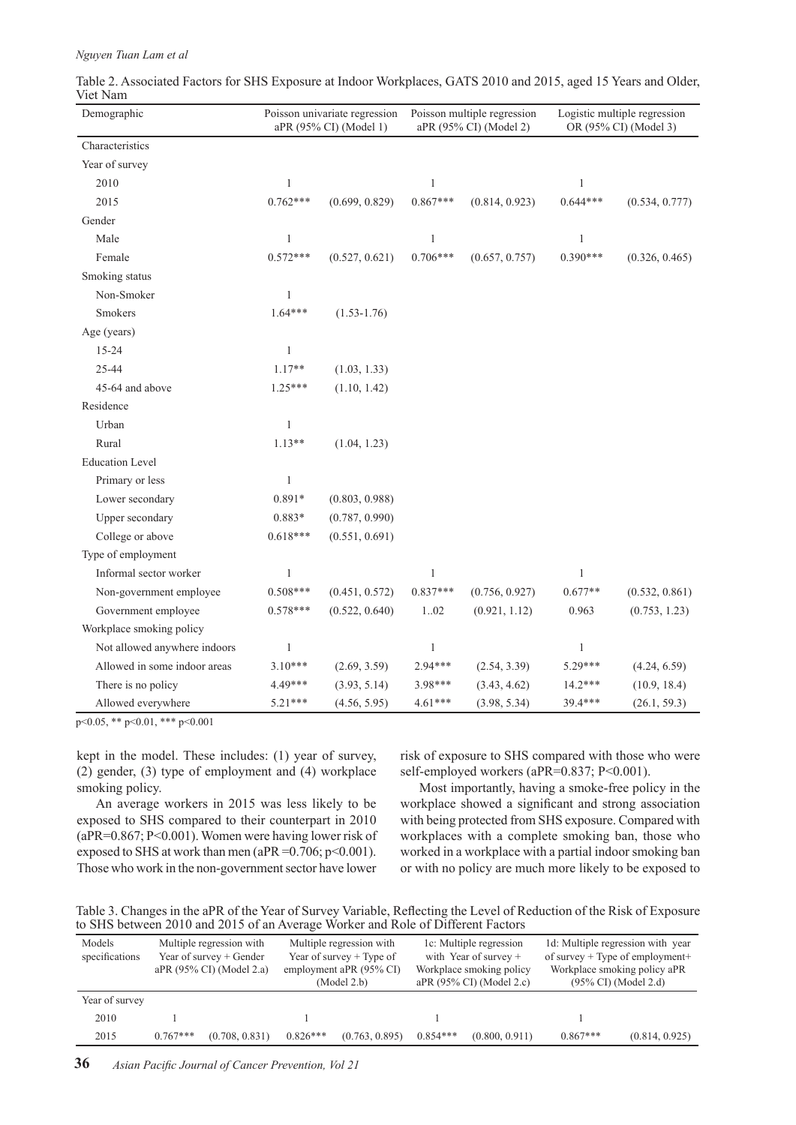#### *Nguyen Tuan Lam et al*

| Demographic                  |              | Poisson univariate regression<br>aPR (95% CI) (Model 1) | Poisson multiple regression<br>aPR (95% CI) (Model 2) |                | Logistic multiple regression<br>OR (95% CI) (Model 3) |                |  |
|------------------------------|--------------|---------------------------------------------------------|-------------------------------------------------------|----------------|-------------------------------------------------------|----------------|--|
| Characteristics              |              |                                                         |                                                       |                |                                                       |                |  |
| Year of survey               |              |                                                         |                                                       |                |                                                       |                |  |
| 2010                         | 1            |                                                         | 1                                                     |                | 1                                                     |                |  |
| 2015                         | $0.762***$   | (0.699, 0.829)                                          | $0.867***$                                            | (0.814, 0.923) | $0.644***$                                            | (0.534, 0.777) |  |
| Gender                       |              |                                                         |                                                       |                |                                                       |                |  |
| Male                         | 1            |                                                         | $\mathbf{1}$                                          |                | $\mathbf{1}$                                          |                |  |
| Female                       | $0.572***$   | (0.527, 0.621)                                          | $0.706***$                                            | (0.657, 0.757) | $0.390***$                                            | (0.326, 0.465) |  |
| Smoking status               |              |                                                         |                                                       |                |                                                       |                |  |
| Non-Smoker                   | 1            |                                                         |                                                       |                |                                                       |                |  |
| Smokers                      | $1.64***$    | $(1.53 - 1.76)$                                         |                                                       |                |                                                       |                |  |
| Age (years)                  |              |                                                         |                                                       |                |                                                       |                |  |
| 15-24                        | 1            |                                                         |                                                       |                |                                                       |                |  |
| 25-44                        | $1.17**$     | (1.03, 1.33)                                            |                                                       |                |                                                       |                |  |
| 45-64 and above              | $1.25***$    | (1.10, 1.42)                                            |                                                       |                |                                                       |                |  |
| Residence                    |              |                                                         |                                                       |                |                                                       |                |  |
| Urban                        | 1            |                                                         |                                                       |                |                                                       |                |  |
| Rural                        | $1.13**$     | (1.04, 1.23)                                            |                                                       |                |                                                       |                |  |
| <b>Education Level</b>       |              |                                                         |                                                       |                |                                                       |                |  |
| Primary or less              | 1            |                                                         |                                                       |                |                                                       |                |  |
| Lower secondary              | $0.891*$     | (0.803, 0.988)                                          |                                                       |                |                                                       |                |  |
| Upper secondary              | 0.883*       | (0.787, 0.990)                                          |                                                       |                |                                                       |                |  |
| College or above             | $0.618***$   | (0.551, 0.691)                                          |                                                       |                |                                                       |                |  |
| Type of employment           |              |                                                         |                                                       |                |                                                       |                |  |
| Informal sector worker       | 1            |                                                         | 1                                                     |                | 1                                                     |                |  |
| Non-government employee      | $0.508***$   | (0.451, 0.572)                                          | $0.837***$                                            | (0.756, 0.927) | $0.677**$                                             | (0.532, 0.861) |  |
| Government employee          | $0.578***$   | (0.522, 0.640)                                          | 102                                                   | (0.921, 1.12)  | 0.963                                                 | (0.753, 1.23)  |  |
| Workplace smoking policy     |              |                                                         |                                                       |                |                                                       |                |  |
| Not allowed anywhere indoors | $\mathbf{1}$ |                                                         | $\mathbf{1}$                                          |                | $\mathbf{1}$                                          |                |  |
| Allowed in some indoor areas | $3.10***$    | (2.69, 3.59)                                            | 2.94***                                               | (2.54, 3.39)   | 5.29***                                               | (4.24, 6.59)   |  |
| There is no policy           | 4.49***      | (3.93, 5.14)                                            | 3.98***                                               | (3.43, 4.62)   | $14.2***$                                             | (10.9, 18.4)   |  |
| Allowed everywhere           | $5.21***$    | (4.56, 5.95)                                            | $4.61***$                                             | (3.98, 5.34)   | 39.4***                                               | (26.1, 59.3)   |  |

Table 2. Associated Factors for SHS Exposure at Indoor Workplaces, GATS 2010 and 2015, aged 15 Years and Older, Viet Nam

p<0.05, \*\* p<0.01, \*\*\* p<0.001

kept in the model. These includes: (1) year of survey, (2) gender, (3) type of employment and (4) workplace smoking policy.

risk of exposure to SHS compared with those who were self-employed workers (aPR=0.837; P<0.001).

An average workers in 2015 was less likely to be exposed to SHS compared to their counterpart in 2010 (aPR=0.867; P<0.001). Women were having lower risk of exposed to SHS at work than men (aPR = $0.706$ ; p $\leq 0.001$ ). Those who work in the non-government sector have lower

Most importantly, having a smoke-free policy in the workplace showed a significant and strong association with being protected from SHS exposure. Compared with workplaces with a complete smoking ban, those who worked in a workplace with a partial indoor smoking ban or with no policy are much more likely to be exposed to

Table 3. Changes in the aPR of the Year of Survey Variable, Reflecting the Level of Reduction of the Risk of Exposure to SHS between 2010 and 2015 of an Average Worker and Role of Different Factors

| Models<br>specifications | Multiple regression with<br>Year of survey + Gender<br>aPR (95% CI) (Model 2.a) |                | Multiple regression with<br>Year of survey $+$ Type of<br>employment aPR (95% CI)<br>(Model 2.b) |                | 1c: Multiple regression<br>with Year of survey $+$<br>Workplace smoking policy<br>aPR (95% CI) (Model 2.c) |                | 1d: Multiple regression with year<br>of survey $+$ Type of employment $+$<br>Workplace smoking policy aPR<br>$(95\% \text{ CI})$ (Model 2.d) |                |
|--------------------------|---------------------------------------------------------------------------------|----------------|--------------------------------------------------------------------------------------------------|----------------|------------------------------------------------------------------------------------------------------------|----------------|----------------------------------------------------------------------------------------------------------------------------------------------|----------------|
| Year of survey           |                                                                                 |                |                                                                                                  |                |                                                                                                            |                |                                                                                                                                              |                |
| 2010                     |                                                                                 |                |                                                                                                  |                |                                                                                                            |                |                                                                                                                                              |                |
| 2015                     | $0.767***$                                                                      | (0.708, 0.831) | $0.826***$                                                                                       | (0.763, 0.895) | $0.854***$                                                                                                 | (0.800, 0.911) | $0.867***$                                                                                                                                   | (0.814, 0.925) |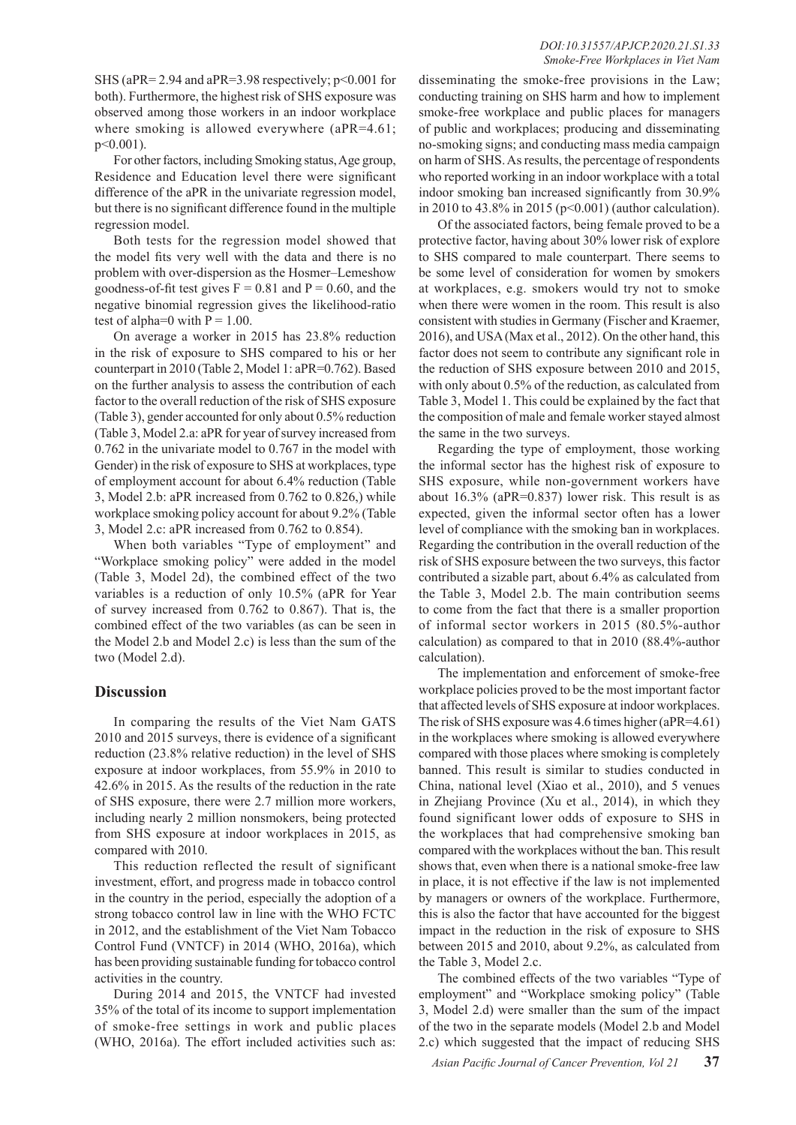SHS (aPR= 2.94 and aPR=3.98 respectively; p<0.001 for both). Furthermore, the highest risk of SHS exposure was observed among those workers in an indoor workplace where smoking is allowed everywhere (aPR=4.61;  $p \leq 0.001$ ).

For other factors, including Smoking status, Age group, Residence and Education level there were significant difference of the aPR in the univariate regression model, but there is no significant difference found in the multiple regression model.

Both tests for the regression model showed that the model fits very well with the data and there is no problem with over-dispersion as the Hosmer–Lemeshow goodness-of-fit test gives  $F = 0.81$  and  $P = 0.60$ , and the negative binomial regression gives the likelihood-ratio test of alpha=0 with  $P = 1.00$ .

On average a worker in 2015 has 23.8% reduction in the risk of exposure to SHS compared to his or her counterpart in 2010 (Table 2, Model 1: aPR=0.762). Based on the further analysis to assess the contribution of each factor to the overall reduction of the risk of SHS exposure (Table 3), gender accounted for only about 0.5% reduction (Table 3, Model 2.a: aPR for year of survey increased from 0.762 in the univariate model to 0.767 in the model with Gender) in the risk of exposure to SHS at workplaces, type of employment account for about 6.4% reduction (Table 3, Model 2.b: aPR increased from 0.762 to 0.826,) while workplace smoking policy account for about 9.2% (Table 3, Model 2.c: aPR increased from 0.762 to 0.854).

When both variables "Type of employment" and "Workplace smoking policy" were added in the model (Table 3, Model 2d), the combined effect of the two variables is a reduction of only 10.5% (aPR for Year of survey increased from 0.762 to 0.867). That is, the combined effect of the two variables (as can be seen in the Model 2.b and Model 2.c) is less than the sum of the two (Model 2.d).

# **Discussion**

In comparing the results of the Viet Nam GATS 2010 and 2015 surveys, there is evidence of a significant reduction (23.8% relative reduction) in the level of SHS exposure at indoor workplaces, from 55.9% in 2010 to 42.6% in 2015. As the results of the reduction in the rate of SHS exposure, there were 2.7 million more workers, including nearly 2 million nonsmokers, being protected from SHS exposure at indoor workplaces in 2015, as compared with 2010.

This reduction reflected the result of significant investment, effort, and progress made in tobacco control in the country in the period, especially the adoption of a strong tobacco control law in line with the WHO FCTC in 2012, and the establishment of the Viet Nam Tobacco Control Fund (VNTCF) in 2014 (WHO, 2016a), which has been providing sustainable funding for tobacco control activities in the country.

During 2014 and 2015, the VNTCF had invested 35% of the total of its income to support implementation of smoke-free settings in work and public places (WHO, 2016a). The effort included activities such as:

disseminating the smoke-free provisions in the Law; conducting training on SHS harm and how to implement smoke-free workplace and public places for managers of public and workplaces; producing and disseminating no-smoking signs; and conducting mass media campaign on harm of SHS. As results, the percentage of respondents who reported working in an indoor workplace with a total indoor smoking ban increased significantly from 30.9% in 2010 to 43.8% in 2015 (p<0.001) (author calculation).

Of the associated factors, being female proved to be a protective factor, having about 30% lower risk of explore to SHS compared to male counterpart. There seems to be some level of consideration for women by smokers at workplaces, e.g. smokers would try not to smoke when there were women in the room. This result is also consistent with studies in Germany (Fischer and Kraemer, 2016), and USA (Max et al., 2012). On the other hand, this factor does not seem to contribute any significant role in the reduction of SHS exposure between 2010 and 2015, with only about 0.5% of the reduction, as calculated from Table 3, Model 1. This could be explained by the fact that the composition of male and female worker stayed almost the same in the two surveys.

Regarding the type of employment, those working the informal sector has the highest risk of exposure to SHS exposure, while non-government workers have about 16.3% (aPR=0.837) lower risk. This result is as expected, given the informal sector often has a lower level of compliance with the smoking ban in workplaces. Regarding the contribution in the overall reduction of the risk of SHS exposure between the two surveys, this factor contributed a sizable part, about 6.4% as calculated from the Table 3, Model 2.b. The main contribution seems to come from the fact that there is a smaller proportion of informal sector workers in 2015 (80.5%-author calculation) as compared to that in 2010 (88.4%-author calculation).

The implementation and enforcement of smoke-free workplace policies proved to be the most important factor that affected levels of SHS exposure at indoor workplaces. The risk of SHS exposure was 4.6 times higher (aPR=4.61) in the workplaces where smoking is allowed everywhere compared with those places where smoking is completely banned. This result is similar to studies conducted in China, national level (Xiao et al., 2010), and 5 venues in Zhejiang Province (Xu et al., 2014), in which they found significant lower odds of exposure to SHS in the workplaces that had comprehensive smoking ban compared with the workplaces without the ban. This result shows that, even when there is a national smoke-free law in place, it is not effective if the law is not implemented by managers or owners of the workplace. Furthermore, this is also the factor that have accounted for the biggest impact in the reduction in the risk of exposure to SHS between 2015 and 2010, about 9.2%, as calculated from the Table 3, Model 2.c.

The combined effects of the two variables "Type of employment" and "Workplace smoking policy" (Table 3, Model 2.d) were smaller than the sum of the impact of the two in the separate models (Model 2.b and Model 2.c) which suggested that the impact of reducing SHS